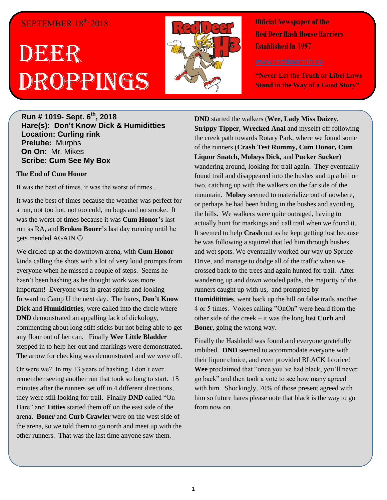## SEPTEMBER  $18<sup>th</sup>$ , 2018

## DEGEER Droppings



**Official Newspaper of the Red Deer Hash House Harriers Established In 1997** 

**"Never Let the Truth or Libel Laws Stand in the Way of a Good Story"**

**Run # 1019- Sept. 6 th, 2018 Hare(s): Don't Know Dick & Humiditties Location: Curling rink Prelube:** Murphs **On On:** Mr. Mikes **Scribe: Cum See My Box**

## **The End of Cum Honor**

It was the best of times, it was the worst of times…

It was the best of times because the weather was perfect for a run, not too hot, not too cold, no bugs and no smoke. It was the worst of times because it was **Cum Honor**'s last run as RA, and **Broken Boner**'s last day running until he gets mended AGAIN

We circled up at the downtown arena, with **Cum Honor** kinda calling the shots with a lot of very loud prompts from everyone when he missed a couple of steps. Seems he hasn't been hashing as he thought work was more important! Everyone was in great spirits and looking forward to Camp U the next day. The hares, **Don't Know Dick** and **Humidititties**, were called into the circle where **DND** demonstrated an appalling lack of dickology, commenting about long stiff sticks but not being able to get any flour out of her can. Finally **Wee Little Bladder** stepped in to help her out and markings were demonstrated. The arrow for checking was demonstrated and we were off.

Or were we? In my 13 years of hashing, I don't ever remember seeing another run that took so long to start. 15 minutes after the runners set off in 4 different directions, they were still looking for trail. Finally **DND** called "On Hare" and **Titties** started them off on the east side of the arena. **Boner** and **Curb Crawler** were on the west side of the arena, so we told them to go north and meet up with the other runners. That was the last time anyone saw them.

**DND** started the walkers (**Wee**, **Lady Miss Daizey**, **Strippy Tipper**, **Wrecked Anal** and myself) off following the creek path towards Rotary Park, where we found some of the runners (**Crash Test Rummy, Cum Honor, Cum Liquor Snatch, Mobeys Dick,** and **Pucker Sucker)**  wandering around, looking for trail again. They eventually found trail and disappeared into the bushes and up a hill or two, catching up with the walkers on the far side of the mountain. **Mobey** seemed to materialize out of nowhere, or perhaps he had been hiding in the bushes and avoiding the hills. We walkers were quite outraged, having to actually hunt for markings and call trail when we found it. It seemed to help **Crash** out as he kept getting lost because he was following a squirrel that led him through bushes and wet spots. We eventually worked our way up Spruce Drive, and manage to dodge all of the traffic when we crossed back to the trees and again hunted for trail. After wandering up and down wooded paths, the majority of the runners caught up with us, and prompted by **Humidititties**, went back up the hill on false trails another 4 or 5 times. Voices calling "OnOn" were heard from the other side of the creek – it was the long lost **Curb** and **Boner**, going the wrong way.

Finally the Hashhold was found and everyone gratefully imbibed. **DND** seemed to accommodate everyone with their liquor choice, and even provided BLACK licorice! **Wee** proclaimed that "once you've had black, you'll never go back" and then took a vote to see how many agreed with him. Shockingly, 70% of those present agreed with him so future hares please note that black is the way to go from now on.